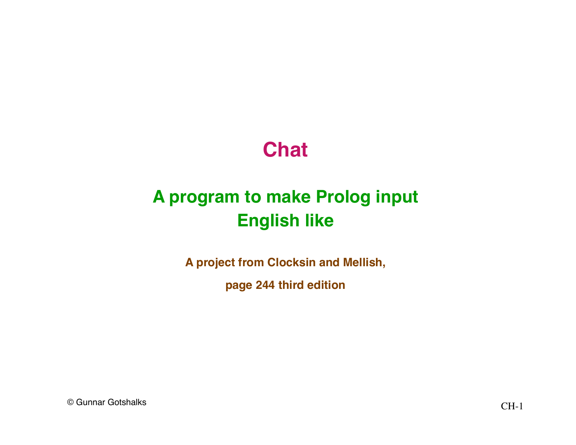#### **Chat**

#### **A program to make Prolog input English like**

**A project from Clocksin and Mellish,**

**page 244 third edition**

© Gunnar Gotshalks CH-1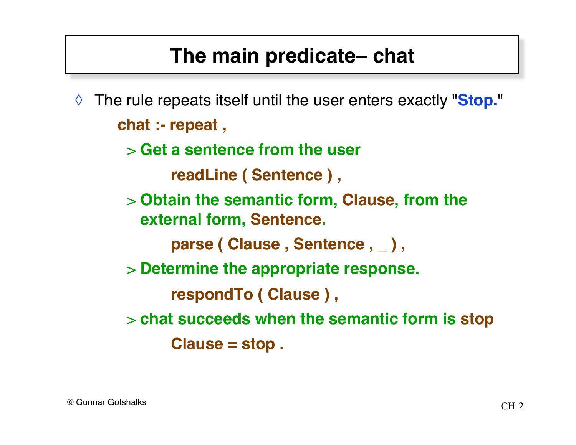#### **The main predicate– chat**

- ◊ The rule repeats itself until the user enters exactly "**Stop.**" **chat :- repeat ,**
	- > **Get a sentence from the user**

```
 readLine ( Sentence ) ,
```
> **Obtain the semantic form, Clause, from the external form, Sentence.**

 **parse ( Clause , Sentence , \_ ) ,**

> **Determine the appropriate response.**

 **respondTo ( Clause ) ,**

> **chat succeeds when the semantic form is stop Clause = stop .**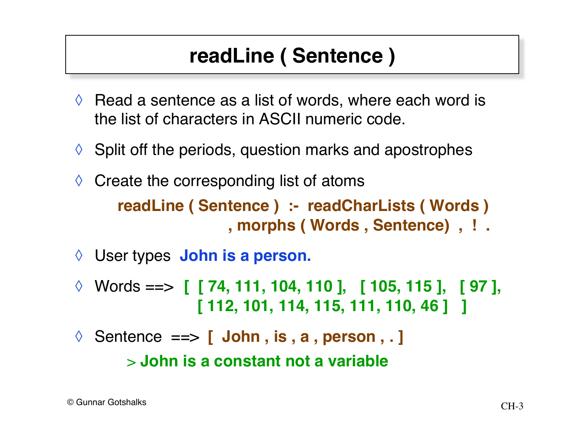### **readLine ( Sentence )**

- $\Diamond$  Read a sentence as a list of words, where each word is the list of characters in ASCII numeric code.
- $\Diamond$  Split off the periods, question marks and apostrophes
- $\Diamond$  Create the corresponding list of atoms **readLine ( Sentence ) :- readCharLists ( Words ) , morphs ( Words , Sentence) , ! .**
- ◊ User types **John is a person.**
- ◊ Words ==> **[ [ 74, 111, 104, 110 ], [ 105, 115 ], [ 97 ], [ 112, 101, 114, 115, 111, 110, 46 ] ]**
- ◊ Sentence ==> **[ John , is , a , person , . ]**

> **John is a constant not a variable**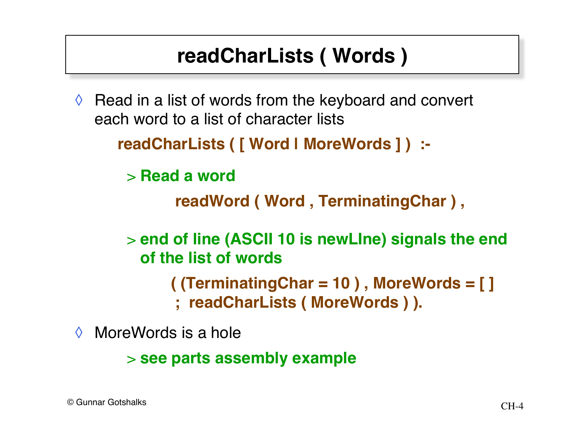### **readCharLists ( Words )**

 $\Diamond$  Read in a list of words from the keyboard and convert each word to a list of character lists

```
readCharLists ( [ Word | MoreWords ] ) :-
```
> **Read a word**

 **readWord ( Word , TerminatingChar ) ,**

> **end of line (ASCII 10 is newLIne) signals the end of the list of words**

 **( (TerminatingChar = 10 ) , MoreWords = [ ]**

 **; readCharLists ( MoreWords ) ).**

◊ MoreWords is a hole

> **see parts assembly example**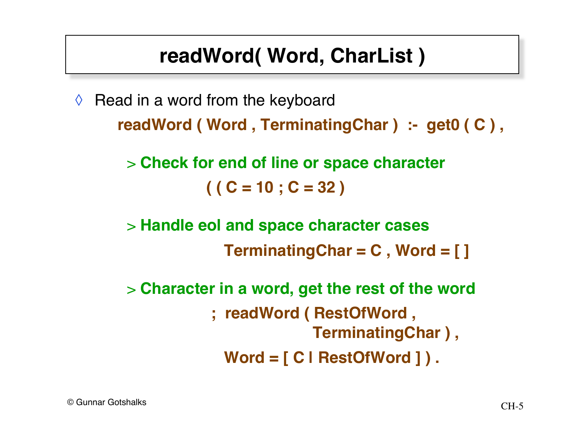### **readWord( Word, CharList )**

 $\Diamond$  Read in a word from the keyboard **readWord ( Word , TerminatingChar ) :- get0 ( C ) ,**

> > **Check for end of line or space character ( ( C = 10 ; C = 32 )**

> **Handle eol and space character cases TerminatingChar = C , Word = [ ]**

> **Character in a word, get the rest of the word ; readWord ( RestOfWord , TerminatingChar ) , Word = [ C | RestOfWord ] ) .**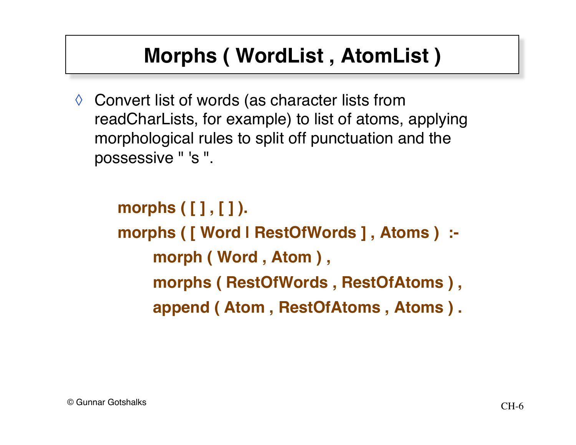### **Morphs ( WordList , AtomList )**

◊ Convert list of words (as character lists from readCharLists, for example) to list of atoms, applying morphological rules to split off punctuation and the possessive " 's ".

> **morphs ( [ ] , [ ] ). morphs ( [ Word | RestOfWords ] , Atoms ) : morph ( Word , Atom ) , morphs ( RestOfWords , RestOfAtoms ) , append ( Atom , RestOfAtoms , Atoms ) .**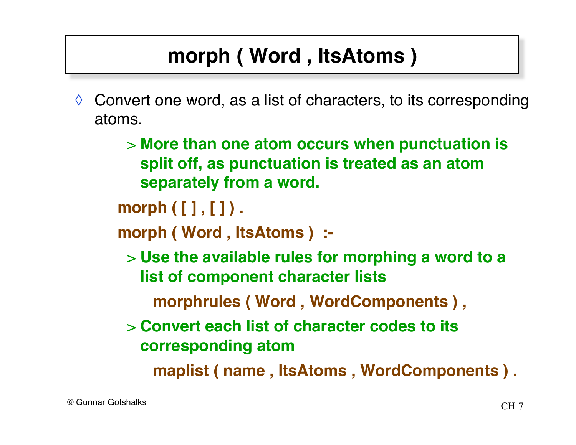## **morph ( Word , ItsAtoms )**

- $\Diamond$  Convert one word, as a list of characters, to its corresponding atoms.
	- > **More than one atom occurs when punctuation is split off, as punctuation is treated as an atom separately from a word.**

**morph ( [ ] , [ ] ) .**

- **morph ( Word , ItsAtoms ) :-**
	- > **Use the available rules for morphing a word to a list of component character lists**
		- **morphrules ( Word , WordComponents ) ,**
	- > **Convert each list of character codes to its corresponding atom**

 **maplist ( name , ItsAtoms , WordComponents ) .**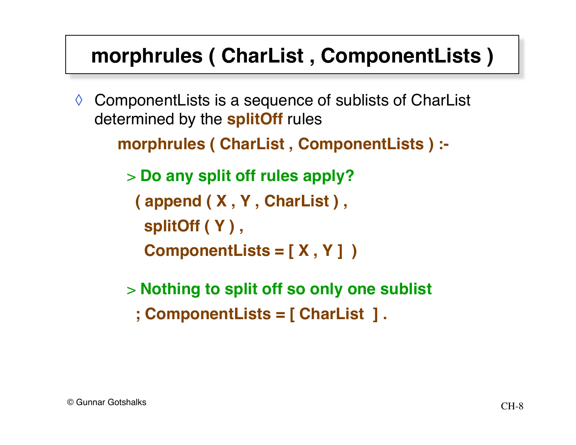### **morphrules ( CharList , ComponentLists )**

◊ ComponentLists is a sequence of sublists of CharList determined by the **splitOff** rules

```
morphrules ( CharList , ComponentLists ) :-
```
> **Do any split off rules apply? ( append ( X , Y , CharList ) , splitOff ( Y ) , ComponentLists = [ X , Y ] )**

- > **Nothing to split off so only one sublist**
	- **; ComponentLists = [ CharList ] .**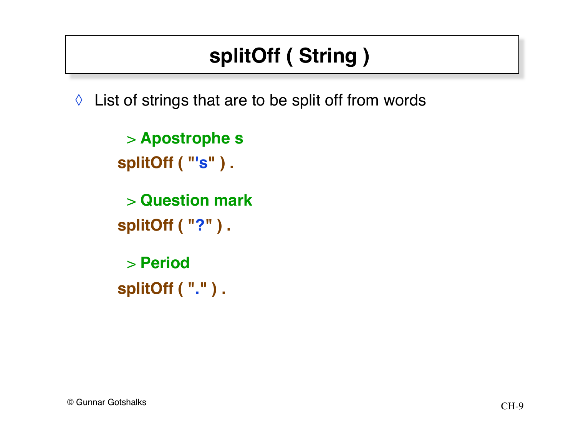# **splitOff ( String )**

◊ List of strings that are to be split off from words

> **Apostrophe s splitOff ( "'s" ) .**

> **Question mark splitOff ( "?" ) .**

> **Period splitOff ( "." ) .**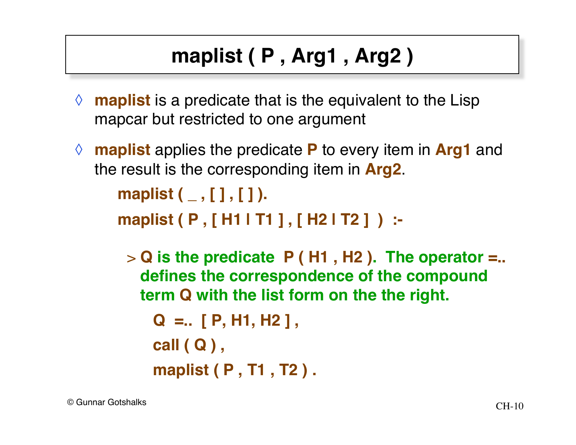# **maplist ( P , Arg1 , Arg2 )**

- ◊ **maplist** is a predicate that is the equivalent to the Lisp mapcar but restricted to one argument
- ◊ **maplist** applies the predicate **P** to every item in **Arg1** and the result is the corresponding item in **Arg2**.

```
maplist ( _ , [ ] , [ ] ).
```
**maplist ( P , [ H1 | T1 ] , [ H2 | T2 ] ) :-**

> **Q is the predicate P ( H1 , H2 ). The operator =.. defines the correspondence of the compound term Q with the list form on the the right.**

```
 Q =.. [ P, H1, H2 ] ,
 call ( Q ) ,
 maplist ( P , T1 , T2 ) .
```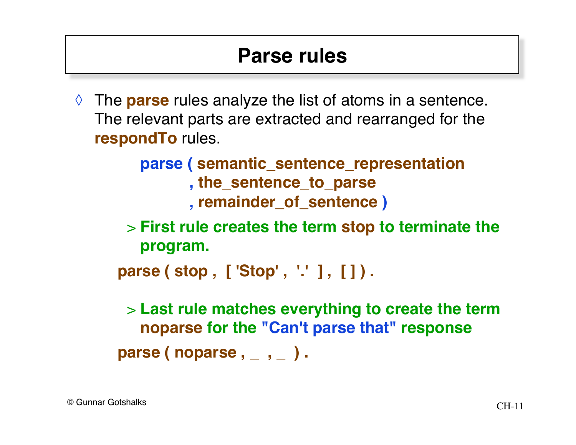#### **Parse rules**

◊ The **parse** rules analyze the list of atoms in a sentence. The relevant parts are extracted and rearranged for the **respondTo** rules.

> **parse ( semantic\_sentence\_representation , the\_sentence\_to\_parse , remainder\_of\_sentence )**

> **First rule creates the term stop to terminate the program.**

```
parse ( stop , [ 'Stop' , '.' ] , [ ] ) .
```
> **Last rule matches everything to create the term noparse for the "Can't parse that" response**

**parse ( noparse , \_ , \_ ) .**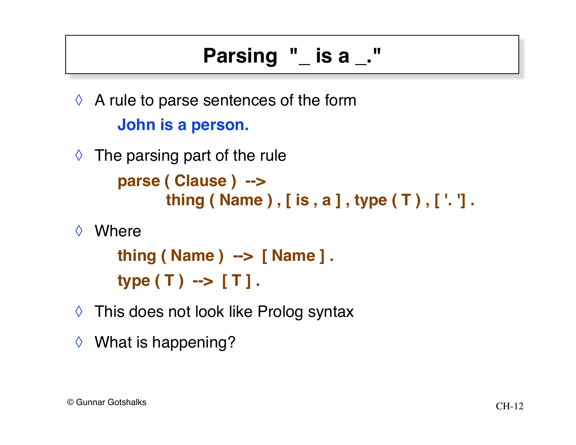## **Parsing "\_ is a \_."**

 $\Diamond$  A rule to parse sentences of the form **John is a person.**

- $\Diamond$  The parsing part of the rule **parse ( Clause ) --> thing ( Name ) , [ is , a ] , type ( T ) , [ '. '] .**
- ◊ Where

**thing ( Name ) --> [ Name ] . type ( T ) --> [ T ] .**

- ◊ This does not look like Prolog syntax
- ◊ What is happening?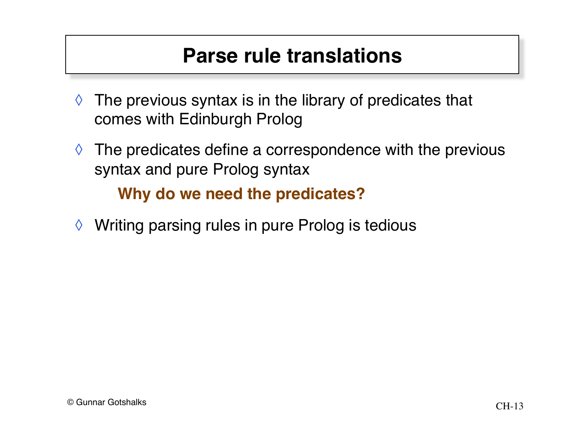#### **Parse rule translations**

- $\Diamond$  The previous syntax is in the library of predicates that comes with Edinburgh Prolog
- $\Diamond$  The predicates define a correspondence with the previous syntax and pure Prolog syntax

**Why do we need the predicates?**

◊ Writing parsing rules in pure Prolog is tedious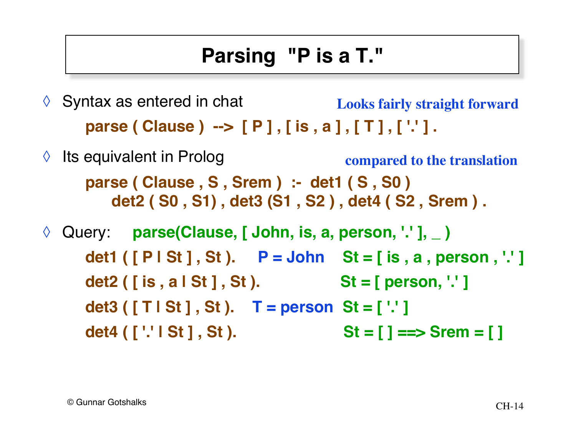## **Parsing "P is a T."**

- $\Diamond$  Syntax as entered in chat **parse ( Clause ) --> [ P ] , [ is , a ] , [ T ] , [ '.' ] . Looks fairly straight forward**
- ◊ Its equivalent in Prolog **parse ( Clause , S , Srem ) :- det1 ( S , S0 ) det2 ( S0 , S1) , det3 (S1 , S2 ) , det4 ( S2 , Srem ) . compared to the translation**

◊ Query: **parse(Clause, [ John, is, a, person, '.' ], \_ ) det1 ( [ P | St ] , St ). P = John St = [ is , a , person , '.' ]** det2 ( [ is , a | St ] , St ). St = [ person, '.' ] **det3 ( [ T | St ] , St ). T = person St = [ '.' ]** det4 ( [ '.' | St ], St ). St = [ ] ==> Srem = [ ]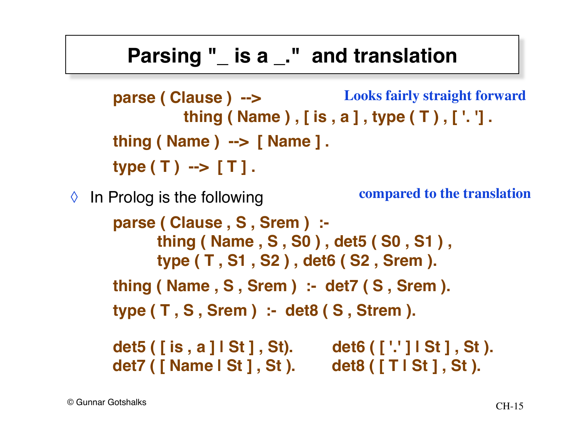#### **Parsing "\_ is a \_." and translation**

```
parse ( Clause ) -->
                  thing ( Name ) , [ is , a ] , type ( T ) , [ '. '] .
      thing ( Name ) --> [ Name ] .
      type ( T ) --> [ T ] .
\Diamond In Prolog is the following
      parse ( Clause , S , Srem ) :-
              thing ( Name , S , S0 ) , det5 ( S0 , S1 ) ,
              type ( T , S1 , S2 ) , det6 ( S2 , Srem ).
      thing ( Name , S , Srem ) :- det7 ( S , Srem ).
      type ( T , S , Srem ) :- det8 ( S , Strem ).
      det5 ( [ is , a ] | St ] , St). det6 ( [ '.' ] | St ] , St ).
      det7 ( [ Name | St ] , St ). det8 ( [ T | St ] , St ).
                                            compared to the translation
                                         Looks fairly straight forward
```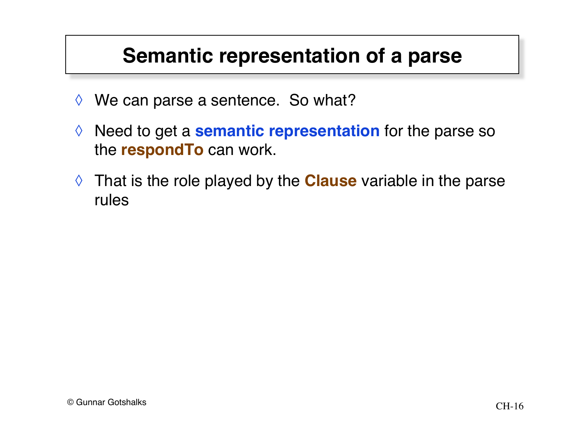#### **Semantic representation of a parse**

- $\Diamond$  We can parse a sentence. So what?
- ◊ Need to get a **semantic representation** for the parse so the **respondTo** can work.
- ◊ That is the role played by the **Clause** variable in the parse rules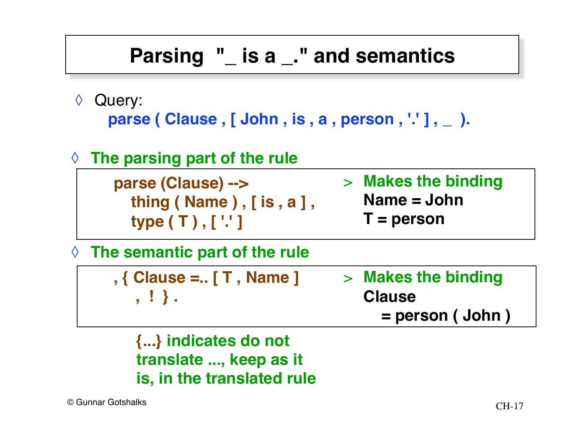#### **Parsing "\_ is a \_." and semantics**

◊ Query:

**parse ( Clause , [ John , is , a , person , '.' ] , \_ ).**

◊ **The parsing part of the rule**

**parse (Clause) --> thing ( Name ) , [ is , a ] , type ( T ) , [ '.' ]**

- > **Makes the binding Name = John**
	- **T = person**

◊ **The semantic part of the rule**

|         | > Makes the binding |
|---------|---------------------|
| , ! } . | <b>Clause</b>       |
|         | $=$ person (John)   |

**{...} indicates do not translate ..., keep as it is, in the translated rule**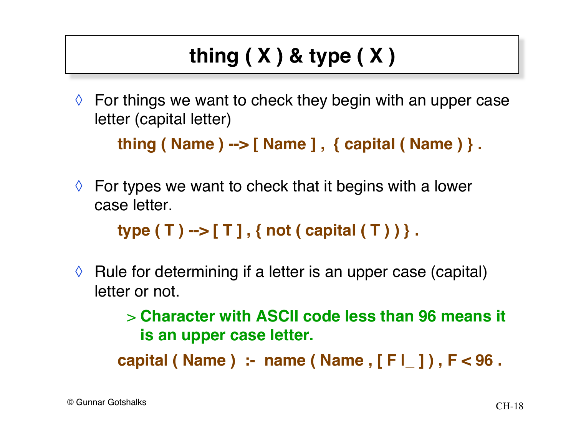# **thing ( X ) & type ( X )**

 $\Diamond$  For things we want to check they begin with an upper case letter (capital letter)

```
thing ( Name ) --> [ Name ] , { capital ( Name ) } .
```
 $\Diamond$  For types we want to check that it begins with a lower case letter.

```
type ( T ) --> [ T ] , { not ( capital ( T ) ) } .
```
 $\Diamond$  Rule for determining if a letter is an upper case (capital) letter or not.

> > **Character with ASCII code less than 96 means it is an upper case letter.**

**capital ( Name ) :- name ( Name , [ F |\_ ] ) , F < 96 .**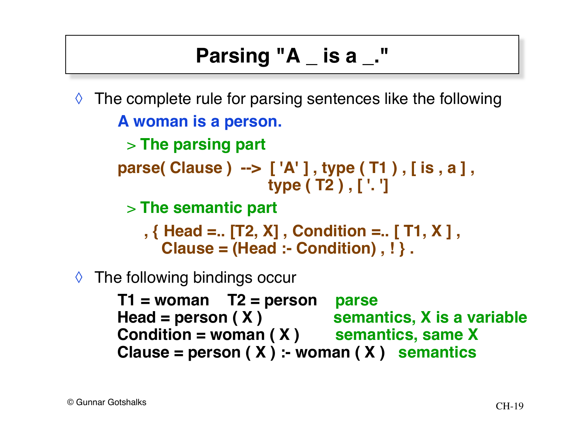### **Parsing "A \_ is a \_."**

 $\Diamond$  The complete rule for parsing sentences like the following **A woman is a person.**

> **The parsing part**

**parse( Clause ) --> [ 'A' ] , type ( T1 ) , [ is , a ] , type ( T2 ) , [ '. ']**

> **The semantic part**

 **, { Head =.. [T2, X] , Condition =.. [ T1, X ] , Clause = (Head :- Condition) , ! } .**

◊ The following bindings occur

**T1 = woman T2 = person parse** Head = person ( X ) semantics, X is a variable **Condition = woman ( X ) semantics, same X Clause = person ( X ) :- woman ( X ) semantics**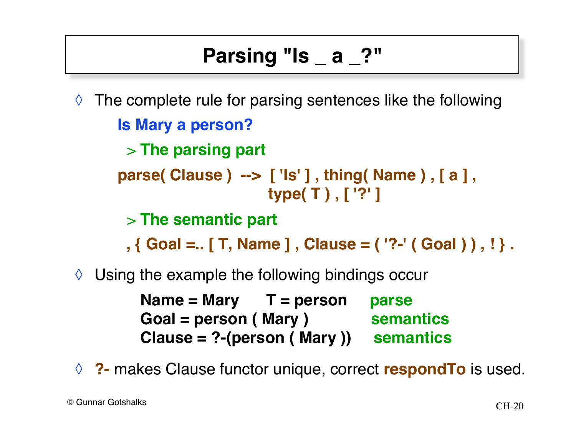### **Parsing "Is \_ a \_?"**

 $\Diamond$  The complete rule for parsing sentences like the following **Is Mary a person?** > **The parsing part parse( Clause ) --> [ 'Is' ] , thing( Name ) , [ a ] , type( T ) , [ '?' ]** > **The semantic part**

 **, { Goal =.. [ T, Name ] , Clause = ( '?-' ( Goal ) ) , ! } .**

 $\Diamond$  Using the example the following bindings occur

**Name = Mary T = person parse** Goal = person (Mary ) semantics **Clause = ?-(person ( Mary )) semantics**

◊ **?-** makes Clause functor unique, correct **respondTo** is used.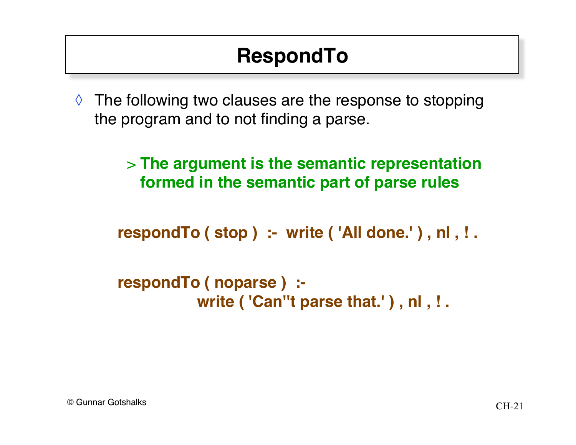### **RespondTo**

 $\Diamond$  The following two clauses are the response to stopping the program and to not finding a parse.

> > **The argument is the semantic representation formed in the semantic part of parse rules**

**respondTo ( stop ) :- write ( 'All done.' ) , nl , ! .**

```
respondTo ( noparse ) :-
            write ( 'Can''t parse that.' ) , nl , ! .
```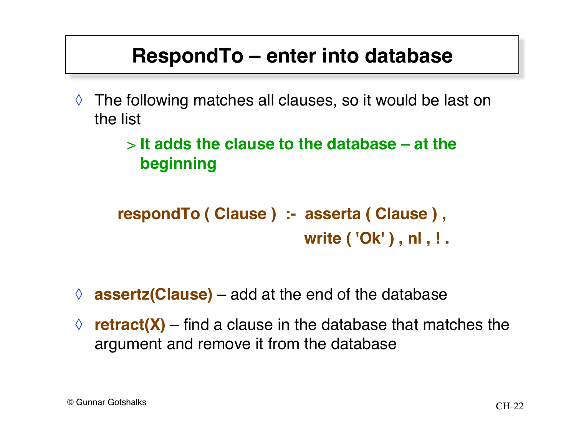#### **RespondTo – enter into database**

 $\Diamond$  The following matches all clauses, so it would be last on the list

#### > **It adds the clause to the database – at the beginning**

**respondTo ( Clause ) :- asserta ( Clause ) , write ( 'Ok' ) , nl , ! .**

- ◊ **assertz(Clause)**  add at the end of the database
- $\Diamond$  **retract(X)** find a clause in the database that matches the argument and remove it from the database